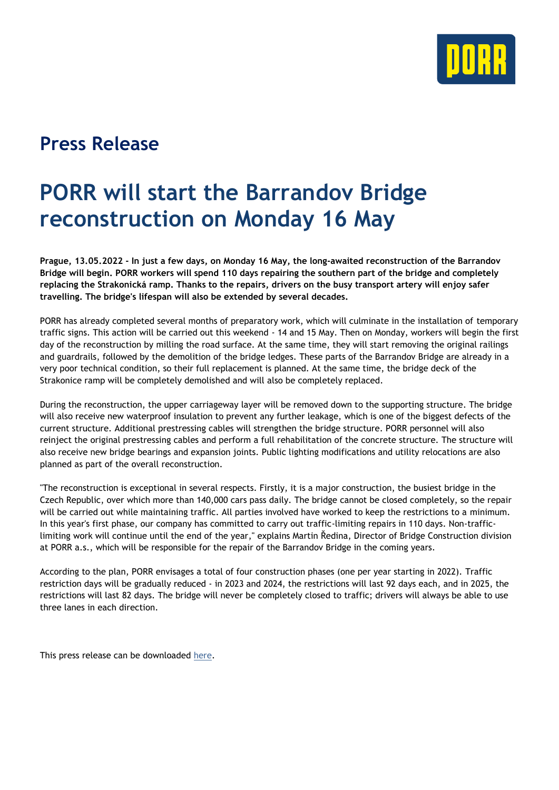

## **Press Release**

## **PORR will start the Barrandov Bridge reconstruction on Monday 16 May**

**Prague, 13.05.2022 - In just a few days, on Monday 16 May, the long-awaited reconstruction of the Barrandov Bridge will begin. PORR workers will spend 110 days repairing the southern part of the bridge and completely replacing the Strakonická ramp. Thanks to the repairs, drivers on the busy transport artery will enjoy safer travelling. The bridge's lifespan will also be extended by several decades.**

PORR has already completed several months of preparatory work, which will culminate in the installation of temporary traffic signs. This action will be carried out this weekend - 14 and 15 May. Then on Monday, workers will begin the first day of the reconstruction by milling the road surface. At the same time, they will start removing the original railings and guardrails, followed by the demolition of the bridge ledges. These parts of the Barrandov Bridge are already in a very poor technical condition, so their full replacement is planned. At the same time, the bridge deck of the Strakonice ramp will be completely demolished and will also be completely replaced.

During the reconstruction, the upper carriageway layer will be removed down to the supporting structure. The bridge will also receive new waterproof insulation to prevent any further leakage, which is one of the biggest defects of the current structure. Additional prestressing cables will strengthen the bridge structure. PORR personnel will also reinject the original prestressing cables and perform a full rehabilitation of the concrete structure. The structure will also receive new bridge bearings and expansion joints. Public lighting modifications and utility relocations are also planned as part of the overall reconstruction.

"The reconstruction is exceptional in several respects. Firstly, it is a major construction, the busiest bridge in the Czech Republic, over which more than 140,000 cars pass daily. The bridge cannot be closed completely, so the repair will be carried out while maintaining traffic. All parties involved have worked to keep the restrictions to a minimum. In this year's first phase, our company has committed to carry out traffic-limiting repairs in 110 days. Non-trafficlimiting work will continue until the end of the year," explains Martin Ředina, Director of Bridge Construction division at PORR a.s., which will be responsible for the repair of the Barrandov Bridge in the coming years.

According to the plan, PORR envisages a total of four construction phases (one per year starting in 2022). Traffic restriction days will be gradually reduced - in 2023 and 2024, the restrictions will last 92 days each, and in 2025, the restrictions will last 82 days. The bridge will never be completely closed to traffic; drivers will always be able to use three lanes in each direction.

This press release can be downloaded [here.](https://porr.cz/en/media/press-release/press-release/news/porr-will-start-the-barrandov-bridge-reconstruction-on-monday-16-may?utm_source=E-Mail&utm_medium=press_release&utm_campaign=Project)